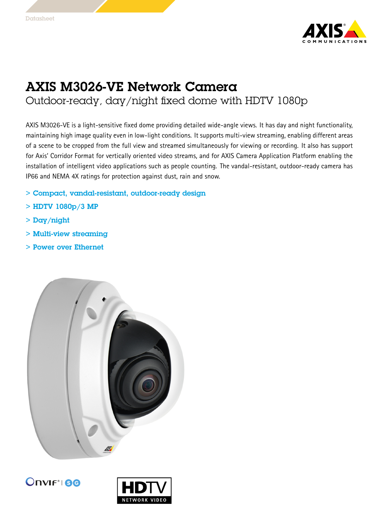

## AXIS M3026-VE Network Camera Outdoor-ready, day/night fixed dome with HDTV 1080p

AXIS M3026-VE is <sup>a</sup> light-sensitive fixed dome providing detailed wide-angle views. It has day and night functionality, maintaining high image quality even in low-light conditions. It supports multi-view streaming, enabling different areas of <sup>a</sup> scene to be cropped from the full view and streamed simultaneously for viewing or recording. It also has support for Axis' Corridor Format for vertically oriented video streams, and for AXIS Camera Application Platform enabling the installation of intelligent video applications such as people counting. The vandal-resistant, outdoor-ready camera has IP66 and NEMA 4X ratings for protection against dust, rain and snow.

- > Compact, vandal-resistant, outdoor-ready design
- $>$  HDTV 1080p/3 MP
- > Day/night
- > Multi-view streaming
- > Power over Ethernet